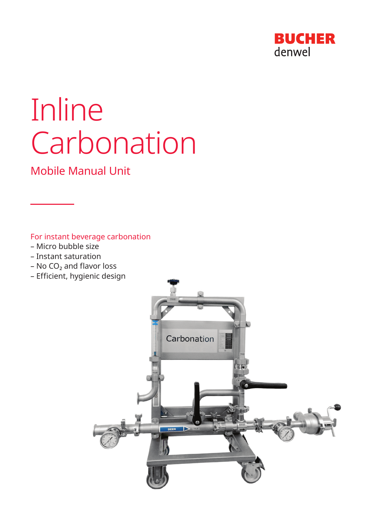

# Inline Carbonation

Mobile Manual Unit

For instant beverage carbonation

- Micro bubble size
- Instant saturation
- $-$  No CO<sub>2</sub> and flavor loss
- Efficient, hygienic design